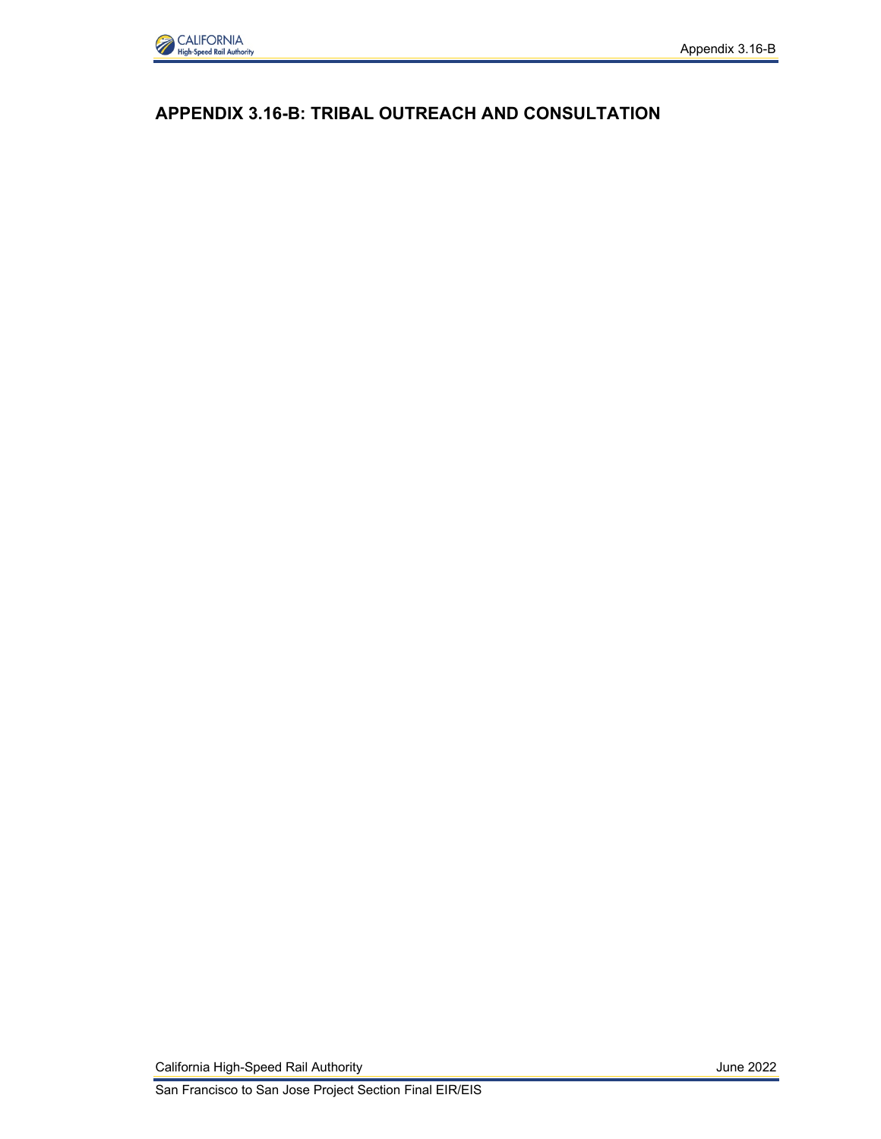

## **APPENDIX 3.16-B: TRIBAL OUTREACH AND CONSULTATION**

California High-Speed Rail Authority **California High-Speed Rail Authority** June 2022

San Francisco to San Jose Project Section Final EIR/EIS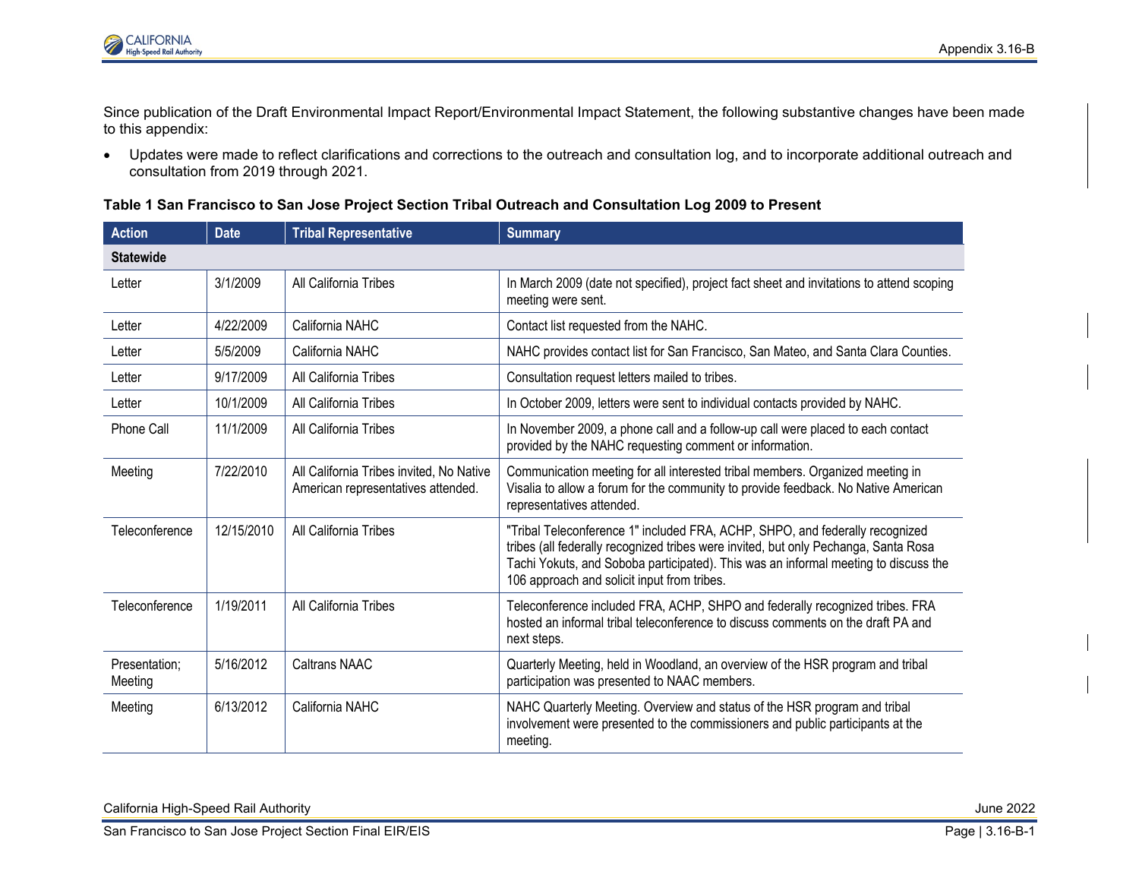

Since publication of the Draft Environmental Impact Report/Environmental Impact Statement, the following substantive changes have been made to this appendix:

• Updates were made to reflect clarifications and corrections to the outreach and consultation log, and to incorporate additional outreach and consultation from 2019 through 2021.

**Table 1 San Francisco to San Jose Project Section Tribal Outreach and Consultation Log 2009 to Present**

| <b>Action</b>            | <b>Date</b> | <b>Tribal Representative</b>                                                   | <b>Summary</b>                                                                                                                                                                                                                                                                                            |  |  |
|--------------------------|-------------|--------------------------------------------------------------------------------|-----------------------------------------------------------------------------------------------------------------------------------------------------------------------------------------------------------------------------------------------------------------------------------------------------------|--|--|
| <b>Statewide</b>         |             |                                                                                |                                                                                                                                                                                                                                                                                                           |  |  |
| Letter                   | 3/1/2009    | All California Tribes                                                          | In March 2009 (date not specified), project fact sheet and invitations to attend scoping<br>meeting were sent.                                                                                                                                                                                            |  |  |
| Letter                   | 4/22/2009   | California NAHC                                                                | Contact list requested from the NAHC.                                                                                                                                                                                                                                                                     |  |  |
| Letter                   | 5/5/2009    | California NAHC                                                                | NAHC provides contact list for San Francisco, San Mateo, and Santa Clara Counties.                                                                                                                                                                                                                        |  |  |
| Letter                   | 9/17/2009   | All California Tribes                                                          | Consultation request letters mailed to tribes.                                                                                                                                                                                                                                                            |  |  |
| Letter                   | 10/1/2009   | All California Tribes                                                          | In October 2009, letters were sent to individual contacts provided by NAHC.                                                                                                                                                                                                                               |  |  |
| <b>Phone Call</b>        | 11/1/2009   | All California Tribes                                                          | In November 2009, a phone call and a follow-up call were placed to each contact<br>provided by the NAHC requesting comment or information.                                                                                                                                                                |  |  |
| Meeting                  | 7/22/2010   | All California Tribes invited, No Native<br>American representatives attended. | Communication meeting for all interested tribal members. Organized meeting in<br>Visalia to allow a forum for the community to provide feedback. No Native American<br>representatives attended.                                                                                                          |  |  |
| Teleconference           | 12/15/2010  | All California Tribes                                                          | "Tribal Teleconference 1" included FRA, ACHP, SHPO, and federally recognized<br>tribes (all federally recognized tribes were invited, but only Pechanga, Santa Rosa<br>Tachi Yokuts, and Soboba participated). This was an informal meeting to discuss the<br>106 approach and solicit input from tribes. |  |  |
| Teleconference           | 1/19/2011   | All California Tribes                                                          | Teleconference included FRA, ACHP, SHPO and federally recognized tribes. FRA<br>hosted an informal tribal teleconference to discuss comments on the draft PA and<br>next steps.                                                                                                                           |  |  |
| Presentation;<br>Meeting | 5/16/2012   | <b>Caltrans NAAC</b>                                                           | Quarterly Meeting, held in Woodland, an overview of the HSR program and tribal<br>participation was presented to NAAC members.                                                                                                                                                                            |  |  |
| Meeting                  | 6/13/2012   | California NAHC                                                                | NAHC Quarterly Meeting. Overview and status of the HSR program and tribal<br>involvement were presented to the commissioners and public participants at the<br>meeting.                                                                                                                                   |  |  |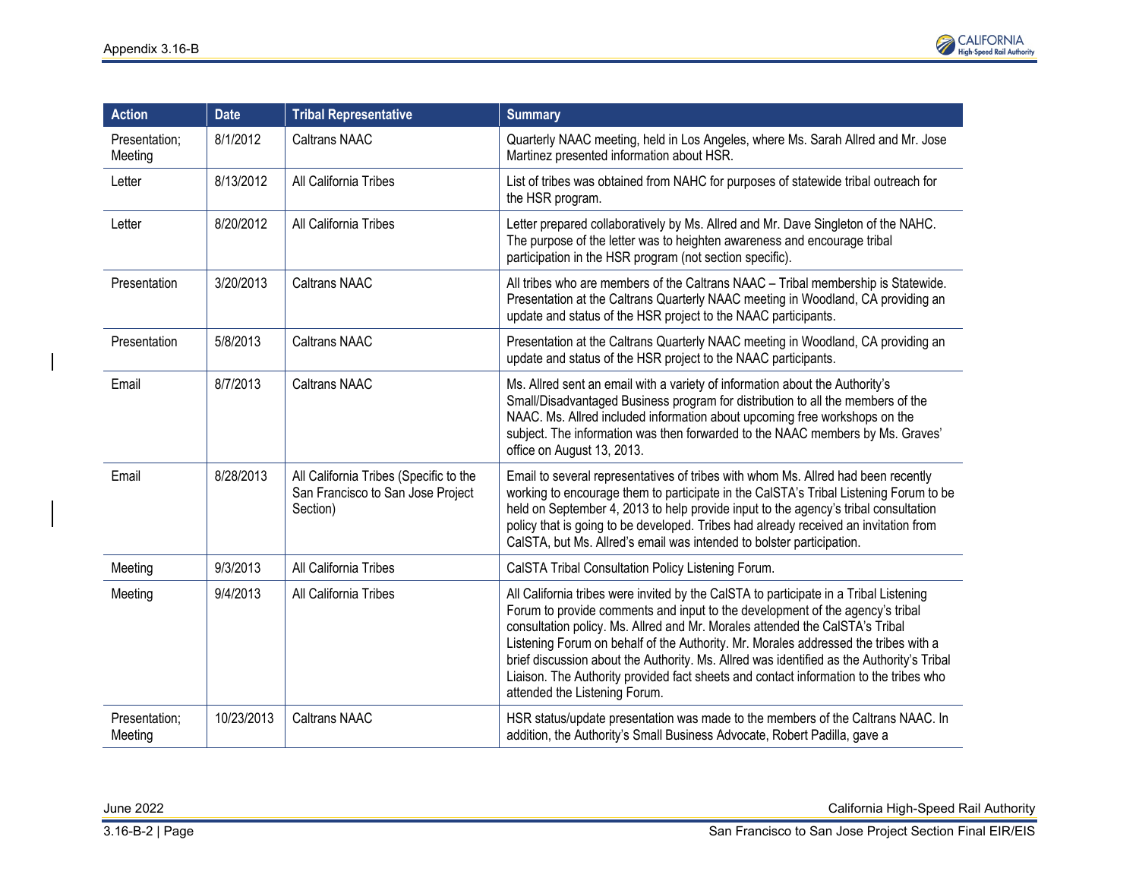

| <b>Action</b>            | <b>Date</b> | <b>Tribal Representative</b>                                                            | <b>Summary</b>                                                                                                                                                                                                                                                                                                                                                                                                                                                                                                                                                       |
|--------------------------|-------------|-----------------------------------------------------------------------------------------|----------------------------------------------------------------------------------------------------------------------------------------------------------------------------------------------------------------------------------------------------------------------------------------------------------------------------------------------------------------------------------------------------------------------------------------------------------------------------------------------------------------------------------------------------------------------|
| Presentation;<br>Meeting | 8/1/2012    | <b>Caltrans NAAC</b>                                                                    | Quarterly NAAC meeting, held in Los Angeles, where Ms. Sarah Allred and Mr. Jose<br>Martinez presented information about HSR.                                                                                                                                                                                                                                                                                                                                                                                                                                        |
| Letter                   | 8/13/2012   | All California Tribes                                                                   | List of tribes was obtained from NAHC for purposes of statewide tribal outreach for<br>the HSR program.                                                                                                                                                                                                                                                                                                                                                                                                                                                              |
| Letter                   | 8/20/2012   | All California Tribes                                                                   | Letter prepared collaboratively by Ms. Allred and Mr. Dave Singleton of the NAHC.<br>The purpose of the letter was to heighten awareness and encourage tribal<br>participation in the HSR program (not section specific).                                                                                                                                                                                                                                                                                                                                            |
| Presentation             | 3/20/2013   | <b>Caltrans NAAC</b>                                                                    | All tribes who are members of the Caltrans NAAC - Tribal membership is Statewide.<br>Presentation at the Caltrans Quarterly NAAC meeting in Woodland, CA providing an<br>update and status of the HSR project to the NAAC participants.                                                                                                                                                                                                                                                                                                                              |
| Presentation             | 5/8/2013    | <b>Caltrans NAAC</b>                                                                    | Presentation at the Caltrans Quarterly NAAC meeting in Woodland, CA providing an<br>update and status of the HSR project to the NAAC participants.                                                                                                                                                                                                                                                                                                                                                                                                                   |
| Email                    | 8/7/2013    | <b>Caltrans NAAC</b>                                                                    | Ms. Allred sent an email with a variety of information about the Authority's<br>Small/Disadvantaged Business program for distribution to all the members of the<br>NAAC. Ms. Allred included information about upcoming free workshops on the<br>subject. The information was then forwarded to the NAAC members by Ms. Graves'<br>office on August 13, 2013.                                                                                                                                                                                                        |
| Email                    | 8/28/2013   | All California Tribes (Specific to the<br>San Francisco to San Jose Project<br>Section) | Email to several representatives of tribes with whom Ms. Allred had been recently<br>working to encourage them to participate in the CalSTA's Tribal Listening Forum to be<br>held on September 4, 2013 to help provide input to the agency's tribal consultation<br>policy that is going to be developed. Tribes had already received an invitation from<br>CalSTA, but Ms. Allred's email was intended to bolster participation.                                                                                                                                   |
| Meeting                  | 9/3/2013    | All California Tribes                                                                   | CalSTA Tribal Consultation Policy Listening Forum.                                                                                                                                                                                                                                                                                                                                                                                                                                                                                                                   |
| Meeting                  | 9/4/2013    | All California Tribes                                                                   | All California tribes were invited by the CalSTA to participate in a Tribal Listening<br>Forum to provide comments and input to the development of the agency's tribal<br>consultation policy. Ms. Allred and Mr. Morales attended the CalSTA's Tribal<br>Listening Forum on behalf of the Authority. Mr. Morales addressed the tribes with a<br>brief discussion about the Authority. Ms. Allred was identified as the Authority's Tribal<br>Liaison. The Authority provided fact sheets and contact information to the tribes who<br>attended the Listening Forum. |
| Presentation;<br>Meeting | 10/23/2013  | <b>Caltrans NAAC</b>                                                                    | HSR status/update presentation was made to the members of the Caltrans NAAC. In<br>addition, the Authority's Small Business Advocate, Robert Padilla, gave a                                                                                                                                                                                                                                                                                                                                                                                                         |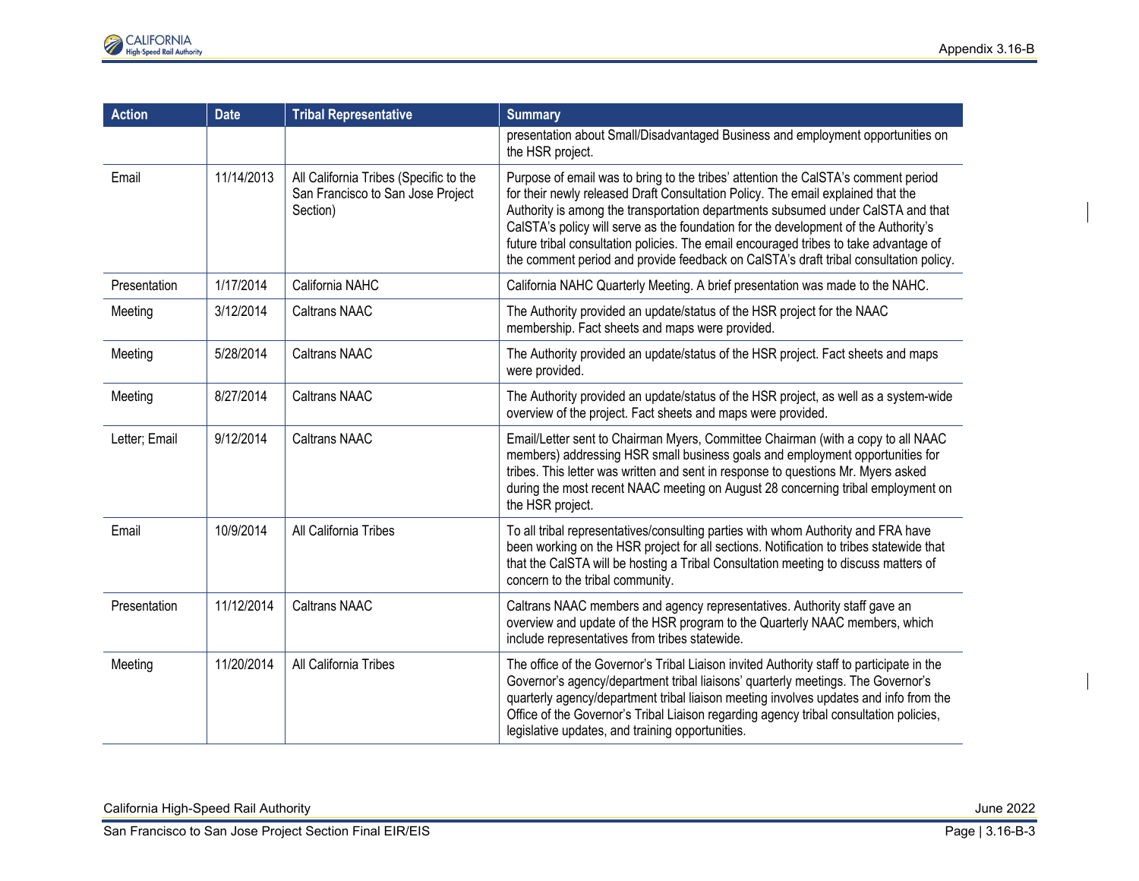| <b>Action</b> | <b>Date</b> | <b>Tribal Representative</b>                                                            | <b>Summary</b>                                                                                                                                                                                                                                                                                                                                                                                                                                                                                                                      |
|---------------|-------------|-----------------------------------------------------------------------------------------|-------------------------------------------------------------------------------------------------------------------------------------------------------------------------------------------------------------------------------------------------------------------------------------------------------------------------------------------------------------------------------------------------------------------------------------------------------------------------------------------------------------------------------------|
|               |             |                                                                                         | presentation about Small/Disadvantaged Business and employment opportunities on<br>the HSR project.                                                                                                                                                                                                                                                                                                                                                                                                                                 |
| Email         | 11/14/2013  | All California Tribes (Specific to the<br>San Francisco to San Jose Project<br>Section) | Purpose of email was to bring to the tribes' attention the CalSTA's comment period<br>for their newly released Draft Consultation Policy. The email explained that the<br>Authority is among the transportation departments subsumed under CalSTA and that<br>CalSTA's policy will serve as the foundation for the development of the Authority's<br>future tribal consultation policies. The email encouraged tribes to take advantage of<br>the comment period and provide feedback on CalSTA's draft tribal consultation policy. |
| Presentation  | 1/17/2014   | California NAHC                                                                         | California NAHC Quarterly Meeting. A brief presentation was made to the NAHC.                                                                                                                                                                                                                                                                                                                                                                                                                                                       |
| Meeting       | 3/12/2014   | <b>Caltrans NAAC</b>                                                                    | The Authority provided an update/status of the HSR project for the NAAC<br>membership. Fact sheets and maps were provided.                                                                                                                                                                                                                                                                                                                                                                                                          |
| Meeting       | 5/28/2014   | <b>Caltrans NAAC</b>                                                                    | The Authority provided an update/status of the HSR project. Fact sheets and maps<br>were provided.                                                                                                                                                                                                                                                                                                                                                                                                                                  |
| Meeting       | 8/27/2014   | <b>Caltrans NAAC</b>                                                                    | The Authority provided an update/status of the HSR project, as well as a system-wide<br>overview of the project. Fact sheets and maps were provided.                                                                                                                                                                                                                                                                                                                                                                                |
| Letter; Email | 9/12/2014   | <b>Caltrans NAAC</b>                                                                    | Email/Letter sent to Chairman Myers, Committee Chairman (with a copy to all NAAC<br>members) addressing HSR small business goals and employment opportunities for<br>tribes. This letter was written and sent in response to questions Mr. Myers asked<br>during the most recent NAAC meeting on August 28 concerning tribal employment on<br>the HSR project.                                                                                                                                                                      |
| Email         | 10/9/2014   | All California Tribes                                                                   | To all tribal representatives/consulting parties with whom Authority and FRA have<br>been working on the HSR project for all sections. Notification to tribes statewide that<br>that the CalSTA will be hosting a Tribal Consultation meeting to discuss matters of<br>concern to the tribal community.                                                                                                                                                                                                                             |
| Presentation  | 11/12/2014  | <b>Caltrans NAAC</b>                                                                    | Caltrans NAAC members and agency representatives. Authority staff gave an<br>overview and update of the HSR program to the Quarterly NAAC members, which<br>include representatives from tribes statewide.                                                                                                                                                                                                                                                                                                                          |
| Meeting       | 11/20/2014  | All California Tribes                                                                   | The office of the Governor's Tribal Liaison invited Authority staff to participate in the<br>Governor's agency/department tribal liaisons' quarterly meetings. The Governor's<br>quarterly agency/department tribal liaison meeting involves updates and info from the<br>Office of the Governor's Tribal Liaison regarding agency tribal consultation policies,<br>legislative updates, and training opportunities.                                                                                                                |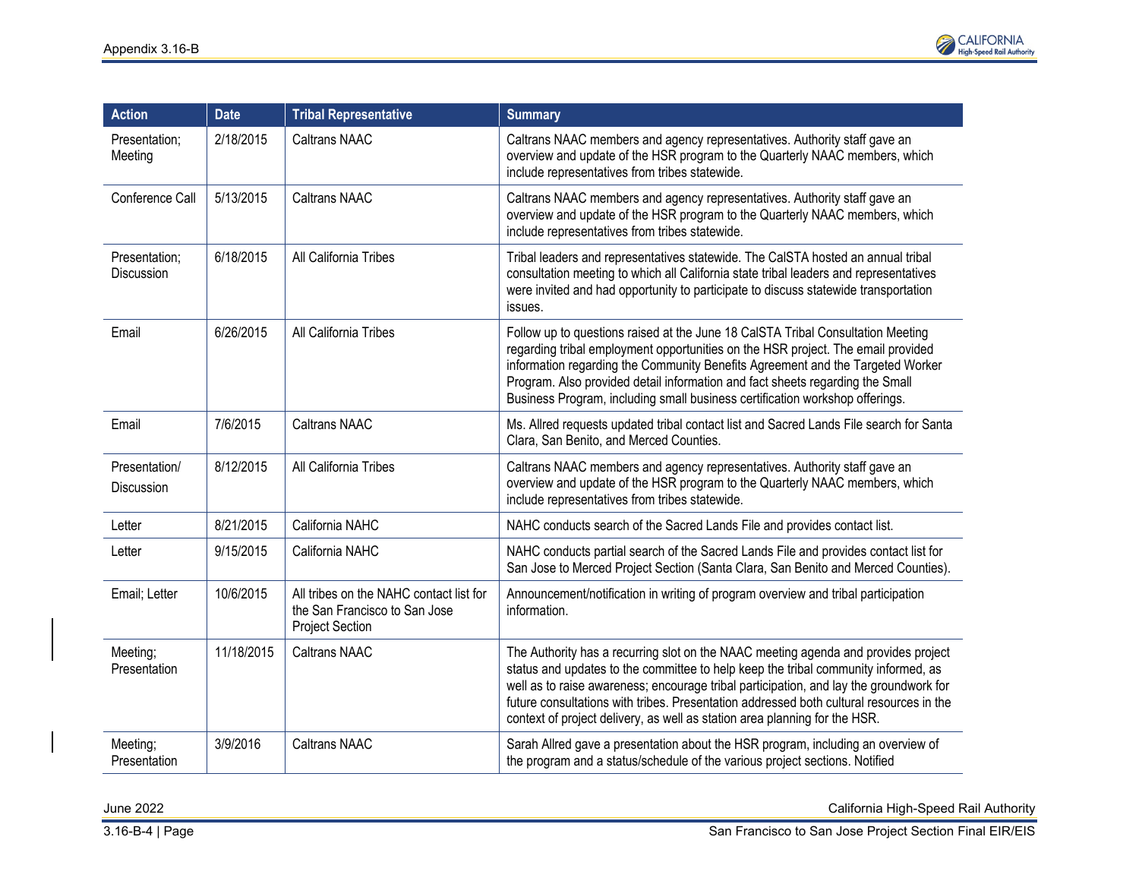

| <b>Action</b>                      | <b>Date</b> | <b>Tribal Representative</b>                                                                       | <b>Summary</b>                                                                                                                                                                                                                                                                                                                                                                                                                              |
|------------------------------------|-------------|----------------------------------------------------------------------------------------------------|---------------------------------------------------------------------------------------------------------------------------------------------------------------------------------------------------------------------------------------------------------------------------------------------------------------------------------------------------------------------------------------------------------------------------------------------|
| Presentation;<br>Meeting           | 2/18/2015   | <b>Caltrans NAAC</b>                                                                               | Caltrans NAAC members and agency representatives. Authority staff gave an<br>overview and update of the HSR program to the Quarterly NAAC members, which<br>include representatives from tribes statewide.                                                                                                                                                                                                                                  |
| Conference Call                    | 5/13/2015   | <b>Caltrans NAAC</b>                                                                               | Caltrans NAAC members and agency representatives. Authority staff gave an<br>overview and update of the HSR program to the Quarterly NAAC members, which<br>include representatives from tribes statewide.                                                                                                                                                                                                                                  |
| Presentation;<br>Discussion        | 6/18/2015   | All California Tribes                                                                              | Tribal leaders and representatives statewide. The CalSTA hosted an annual tribal<br>consultation meeting to which all California state tribal leaders and representatives<br>were invited and had opportunity to participate to discuss statewide transportation<br>issues.                                                                                                                                                                 |
| Email                              | 6/26/2015   | All California Tribes                                                                              | Follow up to questions raised at the June 18 CalSTA Tribal Consultation Meeting<br>regarding tribal employment opportunities on the HSR project. The email provided<br>information regarding the Community Benefits Agreement and the Targeted Worker<br>Program. Also provided detail information and fact sheets regarding the Small<br>Business Program, including small business certification workshop offerings.                      |
| Email                              | 7/6/2015    | <b>Caltrans NAAC</b>                                                                               | Ms. Allred requests updated tribal contact list and Sacred Lands File search for Santa<br>Clara, San Benito, and Merced Counties.                                                                                                                                                                                                                                                                                                           |
| Presentation/<br><b>Discussion</b> | 8/12/2015   | All California Tribes                                                                              | Caltrans NAAC members and agency representatives. Authority staff gave an<br>overview and update of the HSR program to the Quarterly NAAC members, which<br>include representatives from tribes statewide.                                                                                                                                                                                                                                  |
| Letter                             | 8/21/2015   | California NAHC                                                                                    | NAHC conducts search of the Sacred Lands File and provides contact list.                                                                                                                                                                                                                                                                                                                                                                    |
| Letter                             | 9/15/2015   | California NAHC                                                                                    | NAHC conducts partial search of the Sacred Lands File and provides contact list for<br>San Jose to Merced Project Section (Santa Clara, San Benito and Merced Counties).                                                                                                                                                                                                                                                                    |
| Email; Letter                      | 10/6/2015   | All tribes on the NAHC contact list for<br>the San Francisco to San Jose<br><b>Project Section</b> | Announcement/notification in writing of program overview and tribal participation<br>information.                                                                                                                                                                                                                                                                                                                                           |
| Meeting;<br>Presentation           | 11/18/2015  | <b>Caltrans NAAC</b>                                                                               | The Authority has a recurring slot on the NAAC meeting agenda and provides project<br>status and updates to the committee to help keep the tribal community informed, as<br>well as to raise awareness; encourage tribal participation, and lay the groundwork for<br>future consultations with tribes. Presentation addressed both cultural resources in the<br>context of project delivery, as well as station area planning for the HSR. |
| Meeting;<br>Presentation           | 3/9/2016    | <b>Caltrans NAAC</b>                                                                               | Sarah Allred gave a presentation about the HSR program, including an overview of<br>the program and a status/schedule of the various project sections. Notified                                                                                                                                                                                                                                                                             |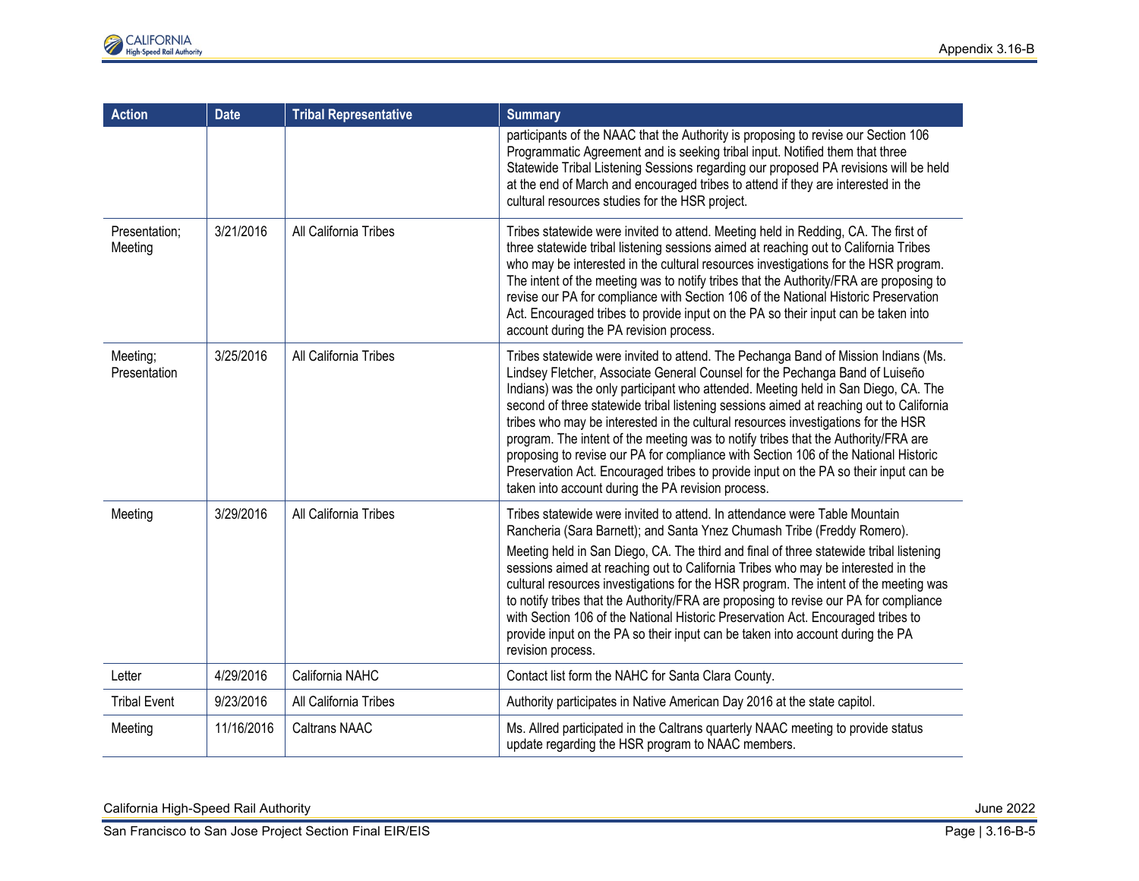| <b>Action</b>            | <b>Date</b> | <b>Tribal Representative</b> | <b>Summary</b>                                                                                                                                                                                                                                                                                                                                                                                                                                                                                                                                                                                                                                                                                                                                                      |
|--------------------------|-------------|------------------------------|---------------------------------------------------------------------------------------------------------------------------------------------------------------------------------------------------------------------------------------------------------------------------------------------------------------------------------------------------------------------------------------------------------------------------------------------------------------------------------------------------------------------------------------------------------------------------------------------------------------------------------------------------------------------------------------------------------------------------------------------------------------------|
|                          |             |                              | participants of the NAAC that the Authority is proposing to revise our Section 106<br>Programmatic Agreement and is seeking tribal input. Notified them that three<br>Statewide Tribal Listening Sessions regarding our proposed PA revisions will be held<br>at the end of March and encouraged tribes to attend if they are interested in the<br>cultural resources studies for the HSR project.                                                                                                                                                                                                                                                                                                                                                                  |
| Presentation;<br>Meeting | 3/21/2016   | All California Tribes        | Tribes statewide were invited to attend. Meeting held in Redding, CA. The first of<br>three statewide tribal listening sessions aimed at reaching out to California Tribes<br>who may be interested in the cultural resources investigations for the HSR program.<br>The intent of the meeting was to notify tribes that the Authority/FRA are proposing to<br>revise our PA for compliance with Section 106 of the National Historic Preservation<br>Act. Encouraged tribes to provide input on the PA so their input can be taken into<br>account during the PA revision process.                                                                                                                                                                                 |
| Meeting;<br>Presentation | 3/25/2016   | All California Tribes        | Tribes statewide were invited to attend. The Pechanga Band of Mission Indians (Ms.<br>Lindsey Fletcher, Associate General Counsel for the Pechanga Band of Luiseño<br>Indians) was the only participant who attended. Meeting held in San Diego, CA. The<br>second of three statewide tribal listening sessions aimed at reaching out to California<br>tribes who may be interested in the cultural resources investigations for the HSR<br>program. The intent of the meeting was to notify tribes that the Authority/FRA are<br>proposing to revise our PA for compliance with Section 106 of the National Historic<br>Preservation Act. Encouraged tribes to provide input on the PA so their input can be<br>taken into account during the PA revision process. |
| Meeting                  | 3/29/2016   | All California Tribes        | Tribes statewide were invited to attend. In attendance were Table Mountain<br>Rancheria (Sara Barnett); and Santa Ynez Chumash Tribe (Freddy Romero).<br>Meeting held in San Diego, CA. The third and final of three statewide tribal listening<br>sessions aimed at reaching out to California Tribes who may be interested in the<br>cultural resources investigations for the HSR program. The intent of the meeting was<br>to notify tribes that the Authority/FRA are proposing to revise our PA for compliance<br>with Section 106 of the National Historic Preservation Act. Encouraged tribes to<br>provide input on the PA so their input can be taken into account during the PA<br>revision process.                                                     |
| Letter                   | 4/29/2016   | California NAHC              | Contact list form the NAHC for Santa Clara County.                                                                                                                                                                                                                                                                                                                                                                                                                                                                                                                                                                                                                                                                                                                  |
| <b>Tribal Event</b>      | 9/23/2016   | All California Tribes        | Authority participates in Native American Day 2016 at the state capitol.                                                                                                                                                                                                                                                                                                                                                                                                                                                                                                                                                                                                                                                                                            |
| Meeting                  | 11/16/2016  | <b>Caltrans NAAC</b>         | Ms. Allred participated in the Caltrans quarterly NAAC meeting to provide status<br>update regarding the HSR program to NAAC members.                                                                                                                                                                                                                                                                                                                                                                                                                                                                                                                                                                                                                               |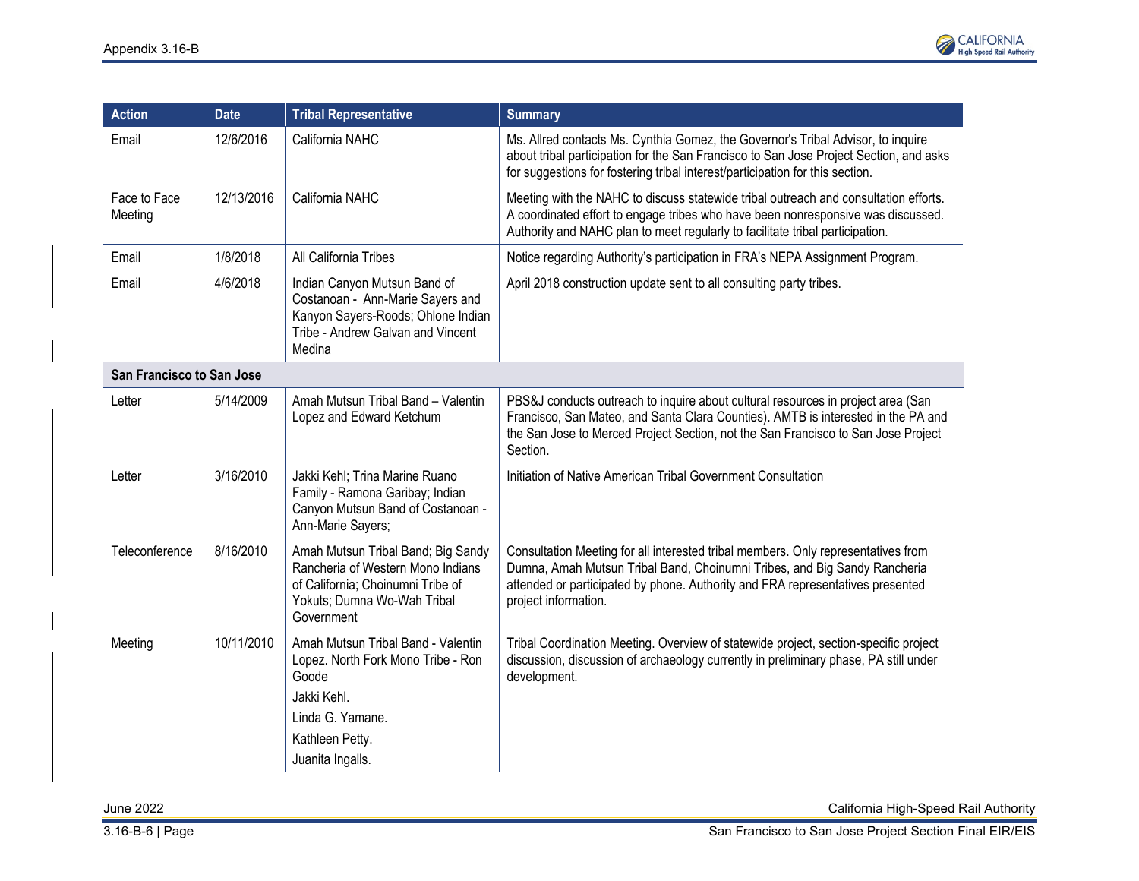

| <b>Action</b>                    | <b>Date</b> | <b>Tribal Representative</b>                                                                                                                                | <b>Summary</b>                                                                                                                                                                                                                                                           |
|----------------------------------|-------------|-------------------------------------------------------------------------------------------------------------------------------------------------------------|--------------------------------------------------------------------------------------------------------------------------------------------------------------------------------------------------------------------------------------------------------------------------|
| Email                            | 12/6/2016   | California NAHC                                                                                                                                             | Ms. Allred contacts Ms. Cynthia Gomez, the Governor's Tribal Advisor, to inquire<br>about tribal participation for the San Francisco to San Jose Project Section, and asks<br>for suggestions for fostering tribal interest/participation for this section.              |
| Face to Face<br>Meeting          | 12/13/2016  | California NAHC                                                                                                                                             | Meeting with the NAHC to discuss statewide tribal outreach and consultation efforts.<br>A coordinated effort to engage tribes who have been nonresponsive was discussed.<br>Authority and NAHC plan to meet regularly to facilitate tribal participation.                |
| Email                            | 1/8/2018    | All California Tribes                                                                                                                                       | Notice regarding Authority's participation in FRA's NEPA Assignment Program.                                                                                                                                                                                             |
| Email                            | 4/6/2018    | Indian Canyon Mutsun Band of<br>Costanoan - Ann-Marie Sayers and<br>Kanyon Sayers-Roods; Ohlone Indian<br>Tribe - Andrew Galvan and Vincent<br>Medina       | April 2018 construction update sent to all consulting party tribes.                                                                                                                                                                                                      |
| <b>San Francisco to San Jose</b> |             |                                                                                                                                                             |                                                                                                                                                                                                                                                                          |
| Letter                           | 5/14/2009   | Amah Mutsun Tribal Band - Valentin<br>Lopez and Edward Ketchum                                                                                              | PBS&J conducts outreach to inquire about cultural resources in project area (San<br>Francisco, San Mateo, and Santa Clara Counties). AMTB is interested in the PA and<br>the San Jose to Merced Project Section, not the San Francisco to San Jose Project<br>Section.   |
| Letter                           | 3/16/2010   | Jakki Kehl; Trina Marine Ruano<br>Family - Ramona Garibay; Indian<br>Canyon Mutsun Band of Costanoan -<br>Ann-Marie Sayers;                                 | Initiation of Native American Tribal Government Consultation                                                                                                                                                                                                             |
| Teleconference                   | 8/16/2010   | Amah Mutsun Tribal Band; Big Sandy<br>Rancheria of Western Mono Indians<br>of California; Choinumni Tribe of<br>Yokuts; Dumna Wo-Wah Tribal<br>Government   | Consultation Meeting for all interested tribal members. Only representatives from<br>Dumna, Amah Mutsun Tribal Band, Choinumni Tribes, and Big Sandy Rancheria<br>attended or participated by phone. Authority and FRA representatives presented<br>project information. |
| Meeting                          | 10/11/2010  | Amah Mutsun Tribal Band - Valentin<br>Lopez. North Fork Mono Tribe - Ron<br>Goode<br>Jakki Kehl.<br>Linda G. Yamane.<br>Kathleen Petty.<br>Juanita Ingalls. | Tribal Coordination Meeting. Overview of statewide project, section-specific project<br>discussion, discussion of archaeology currently in preliminary phase, PA still under<br>development.                                                                             |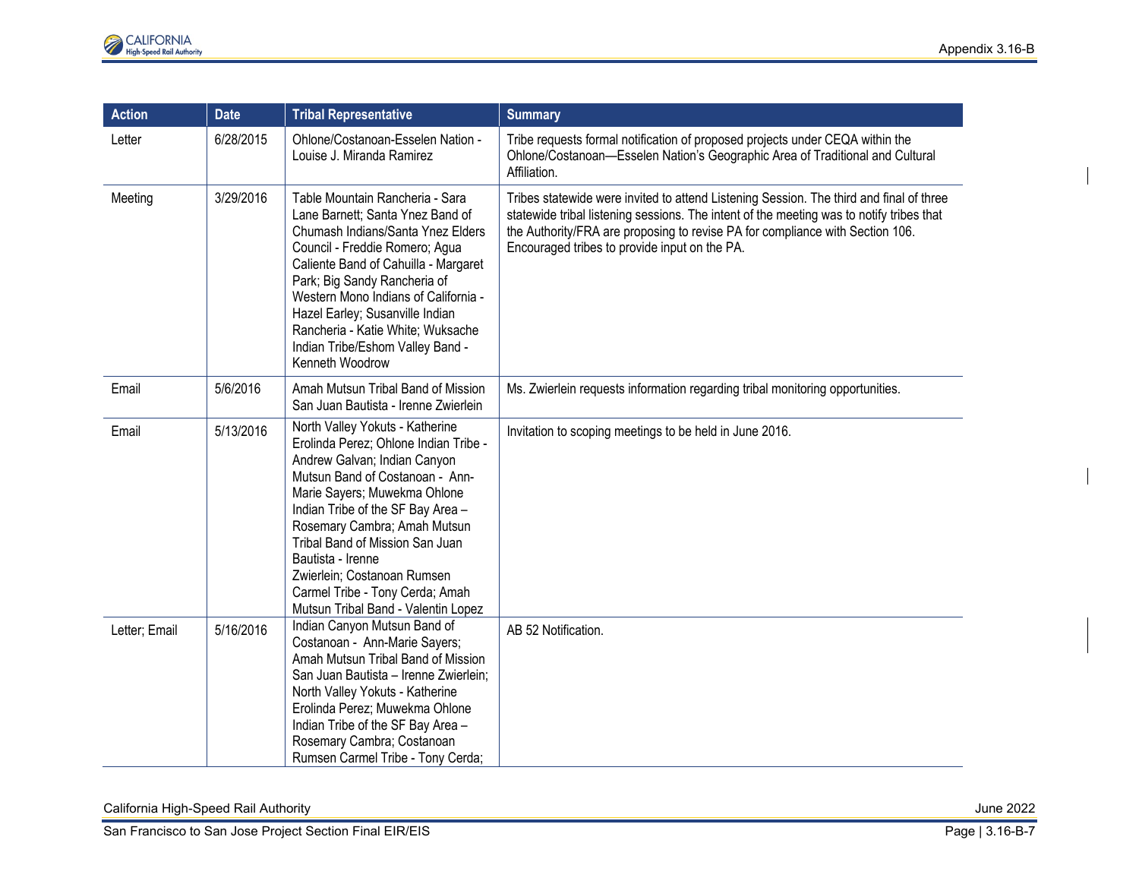| <b>Action</b> | <b>Date</b> | <b>Tribal Representative</b>                                                                                                                                                                                                                                                                                                                                                                                      | <b>Summary</b>                                                                                                                                                                                                                                                                                                        |
|---------------|-------------|-------------------------------------------------------------------------------------------------------------------------------------------------------------------------------------------------------------------------------------------------------------------------------------------------------------------------------------------------------------------------------------------------------------------|-----------------------------------------------------------------------------------------------------------------------------------------------------------------------------------------------------------------------------------------------------------------------------------------------------------------------|
| Letter        | 6/28/2015   | Ohlone/Costanoan-Esselen Nation -<br>Louise J. Miranda Ramirez                                                                                                                                                                                                                                                                                                                                                    | Tribe requests formal notification of proposed projects under CEQA within the<br>Ohlone/Costanoan-Esselen Nation's Geographic Area of Traditional and Cultural<br>Affiliation.                                                                                                                                        |
| Meeting       | 3/29/2016   | Table Mountain Rancheria - Sara<br>Lane Barnett; Santa Ynez Band of<br>Chumash Indians/Santa Ynez Elders<br>Council - Freddie Romero; Agua<br>Caliente Band of Cahuilla - Margaret<br>Park; Big Sandy Rancheria of<br>Western Mono Indians of California -<br>Hazel Earley; Susanville Indian<br>Rancheria - Katie White; Wuksache<br>Indian Tribe/Eshom Valley Band -<br>Kenneth Woodrow                         | Tribes statewide were invited to attend Listening Session. The third and final of three<br>statewide tribal listening sessions. The intent of the meeting was to notify tribes that<br>the Authority/FRA are proposing to revise PA for compliance with Section 106.<br>Encouraged tribes to provide input on the PA. |
| Email         | 5/6/2016    | Amah Mutsun Tribal Band of Mission<br>San Juan Bautista - Irenne Zwierlein                                                                                                                                                                                                                                                                                                                                        | Ms. Zwierlein requests information regarding tribal monitoring opportunities.                                                                                                                                                                                                                                         |
| Email         | 5/13/2016   | North Valley Yokuts - Katherine<br>Erolinda Perez; Ohlone Indian Tribe -<br>Andrew Galvan; Indian Canyon<br>Mutsun Band of Costanoan - Ann-<br>Marie Sayers; Muwekma Ohlone<br>Indian Tribe of the SF Bay Area -<br>Rosemary Cambra; Amah Mutsun<br>Tribal Band of Mission San Juan<br>Bautista - Irenne<br>Zwierlein; Costanoan Rumsen<br>Carmel Tribe - Tony Cerda; Amah<br>Mutsun Tribal Band - Valentin Lopez | Invitation to scoping meetings to be held in June 2016.                                                                                                                                                                                                                                                               |
| Letter; Email | 5/16/2016   | Indian Canyon Mutsun Band of<br>Costanoan - Ann-Marie Sayers;<br>Amah Mutsun Tribal Band of Mission<br>San Juan Bautista - Irenne Zwierlein;<br>North Valley Yokuts - Katherine<br>Erolinda Perez; Muwekma Ohlone<br>Indian Tribe of the SF Bay Area -<br>Rosemary Cambra; Costanoan<br>Rumsen Carmel Tribe - Tony Cerda;                                                                                         | AB 52 Notification.                                                                                                                                                                                                                                                                                                   |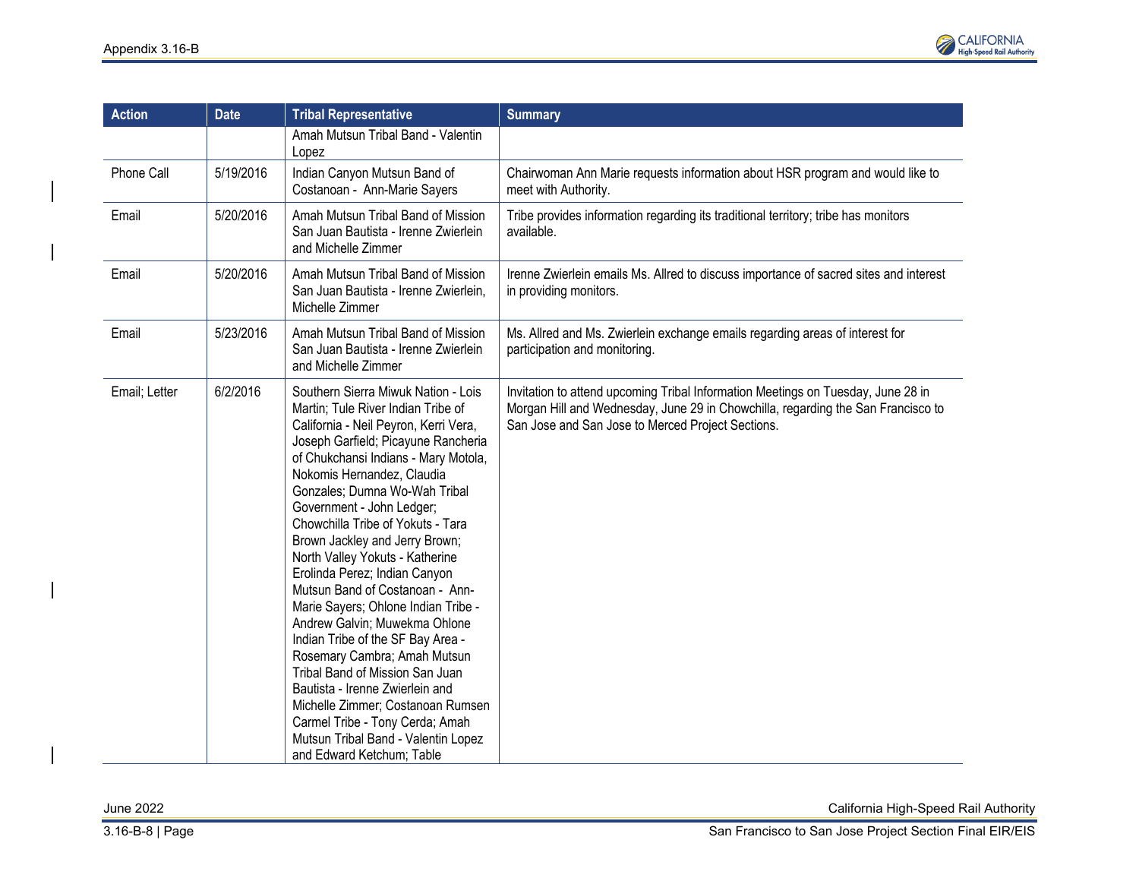

| <b>Action</b> | <b>Date</b> | <b>Tribal Representative</b>                                                                                                                                                                                                                                                                                                                                                                                                                                                                                                                                                                                                                                                                                                                                                                                                               | <b>Summary</b>                                                                                                                                                                                                            |
|---------------|-------------|--------------------------------------------------------------------------------------------------------------------------------------------------------------------------------------------------------------------------------------------------------------------------------------------------------------------------------------------------------------------------------------------------------------------------------------------------------------------------------------------------------------------------------------------------------------------------------------------------------------------------------------------------------------------------------------------------------------------------------------------------------------------------------------------------------------------------------------------|---------------------------------------------------------------------------------------------------------------------------------------------------------------------------------------------------------------------------|
|               |             | Amah Mutsun Tribal Band - Valentin<br>Lopez                                                                                                                                                                                                                                                                                                                                                                                                                                                                                                                                                                                                                                                                                                                                                                                                |                                                                                                                                                                                                                           |
| Phone Call    | 5/19/2016   | Indian Canyon Mutsun Band of<br>Costanoan - Ann-Marie Sayers                                                                                                                                                                                                                                                                                                                                                                                                                                                                                                                                                                                                                                                                                                                                                                               | Chairwoman Ann Marie requests information about HSR program and would like to<br>meet with Authority.                                                                                                                     |
| Email         | 5/20/2016   | Amah Mutsun Tribal Band of Mission<br>San Juan Bautista - Irenne Zwierlein<br>and Michelle Zimmer                                                                                                                                                                                                                                                                                                                                                                                                                                                                                                                                                                                                                                                                                                                                          | Tribe provides information regarding its traditional territory; tribe has monitors<br>available.                                                                                                                          |
| Email         | 5/20/2016   | Amah Mutsun Tribal Band of Mission<br>San Juan Bautista - Irenne Zwierlein,<br>Michelle Zimmer                                                                                                                                                                                                                                                                                                                                                                                                                                                                                                                                                                                                                                                                                                                                             | Irenne Zwierlein emails Ms. Allred to discuss importance of sacred sites and interest<br>in providing monitors.                                                                                                           |
| Email         | 5/23/2016   | Amah Mutsun Tribal Band of Mission<br>San Juan Bautista - Irenne Zwierlein<br>and Michelle Zimmer                                                                                                                                                                                                                                                                                                                                                                                                                                                                                                                                                                                                                                                                                                                                          | Ms. Allred and Ms. Zwierlein exchange emails regarding areas of interest for<br>participation and monitoring.                                                                                                             |
| Email; Letter | 6/2/2016    | Southern Sierra Miwuk Nation - Lois<br>Martin; Tule River Indian Tribe of<br>California - Neil Peyron, Kerri Vera,<br>Joseph Garfield; Picayune Rancheria<br>of Chukchansi Indians - Mary Motola,<br>Nokomis Hernandez, Claudia<br>Gonzales; Dumna Wo-Wah Tribal<br>Government - John Ledger;<br>Chowchilla Tribe of Yokuts - Tara<br>Brown Jackley and Jerry Brown;<br>North Valley Yokuts - Katherine<br>Erolinda Perez; Indian Canyon<br>Mutsun Band of Costanoan - Ann-<br>Marie Sayers; Ohlone Indian Tribe -<br>Andrew Galvin; Muwekma Ohlone<br>Indian Tribe of the SF Bay Area -<br>Rosemary Cambra; Amah Mutsun<br>Tribal Band of Mission San Juan<br>Bautista - Irenne Zwierlein and<br>Michelle Zimmer; Costanoan Rumsen<br>Carmel Tribe - Tony Cerda; Amah<br>Mutsun Tribal Band - Valentin Lopez<br>and Edward Ketchum; Table | Invitation to attend upcoming Tribal Information Meetings on Tuesday, June 28 in<br>Morgan Hill and Wednesday, June 29 in Chowchilla, regarding the San Francisco to<br>San Jose and San Jose to Merced Project Sections. |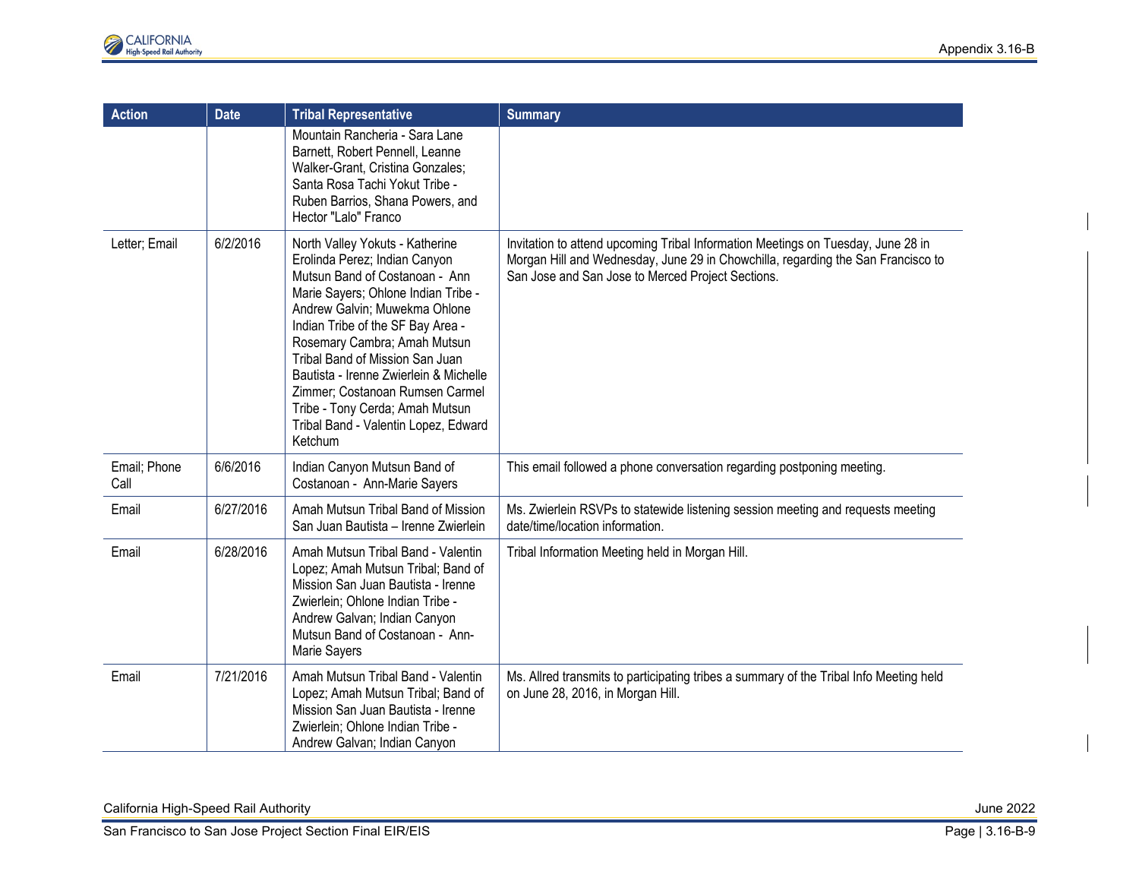| <b>Action</b>        | <b>Date</b> | <b>Tribal Representative</b>                                                                                                                                                                                                                                                                                                                                                                                                                          | <b>Summary</b>                                                                                                                                                                                                            |
|----------------------|-------------|-------------------------------------------------------------------------------------------------------------------------------------------------------------------------------------------------------------------------------------------------------------------------------------------------------------------------------------------------------------------------------------------------------------------------------------------------------|---------------------------------------------------------------------------------------------------------------------------------------------------------------------------------------------------------------------------|
|                      |             | Mountain Rancheria - Sara Lane<br>Barnett, Robert Pennell, Leanne<br>Walker-Grant, Cristina Gonzales;<br>Santa Rosa Tachi Yokut Tribe -<br>Ruben Barrios, Shana Powers, and<br>Hector "Lalo" Franco                                                                                                                                                                                                                                                   |                                                                                                                                                                                                                           |
| Letter; Email        | 6/2/2016    | North Valley Yokuts - Katherine<br>Erolinda Perez; Indian Canyon<br>Mutsun Band of Costanoan - Ann<br>Marie Sayers; Ohlone Indian Tribe -<br>Andrew Galvin; Muwekma Ohlone<br>Indian Tribe of the SF Bay Area -<br>Rosemary Cambra; Amah Mutsun<br>Tribal Band of Mission San Juan<br>Bautista - Irenne Zwierlein & Michelle<br>Zimmer; Costanoan Rumsen Carmel<br>Tribe - Tony Cerda; Amah Mutsun<br>Tribal Band - Valentin Lopez, Edward<br>Ketchum | Invitation to attend upcoming Tribal Information Meetings on Tuesday, June 28 in<br>Morgan Hill and Wednesday, June 29 in Chowchilla, regarding the San Francisco to<br>San Jose and San Jose to Merced Project Sections. |
| Email; Phone<br>Call | 6/6/2016    | Indian Canyon Mutsun Band of<br>Costanoan - Ann-Marie Sayers                                                                                                                                                                                                                                                                                                                                                                                          | This email followed a phone conversation regarding postponing meeting.                                                                                                                                                    |
| Email                | 6/27/2016   | Amah Mutsun Tribal Band of Mission<br>San Juan Bautista - Irenne Zwierlein                                                                                                                                                                                                                                                                                                                                                                            | Ms. Zwierlein RSVPs to statewide listening session meeting and requests meeting<br>date/time/location information.                                                                                                        |
| Email                | 6/28/2016   | Amah Mutsun Tribal Band - Valentin<br>Lopez; Amah Mutsun Tribal; Band of<br>Mission San Juan Bautista - Irenne<br>Zwierlein; Ohlone Indian Tribe -<br>Andrew Galvan; Indian Canyon<br>Mutsun Band of Costanoan - Ann-<br>Marie Sayers                                                                                                                                                                                                                 | Tribal Information Meeting held in Morgan Hill.                                                                                                                                                                           |
| Email                | 7/21/2016   | Amah Mutsun Tribal Band - Valentin<br>Lopez; Amah Mutsun Tribal; Band of<br>Mission San Juan Bautista - Irenne<br>Zwierlein; Ohlone Indian Tribe -<br>Andrew Galvan; Indian Canyon                                                                                                                                                                                                                                                                    | Ms. Allred transmits to participating tribes a summary of the Tribal Info Meeting held<br>on June 28, 2016, in Morgan Hill.                                                                                               |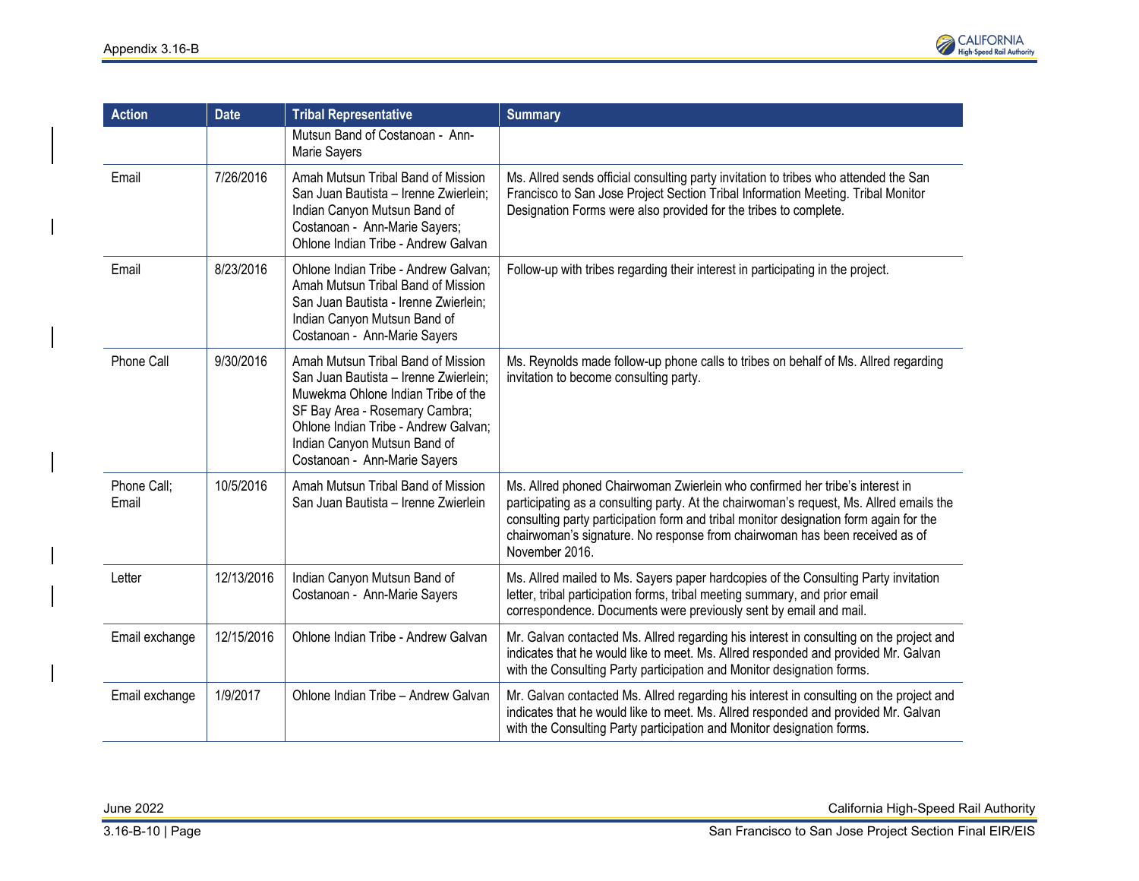

| <b>Action</b>        | <b>Date</b> | <b>Tribal Representative</b>                                                                                                                                                                                                                                | <b>Summary</b>                                                                                                                                                                                                                                                                                                                                                    |
|----------------------|-------------|-------------------------------------------------------------------------------------------------------------------------------------------------------------------------------------------------------------------------------------------------------------|-------------------------------------------------------------------------------------------------------------------------------------------------------------------------------------------------------------------------------------------------------------------------------------------------------------------------------------------------------------------|
|                      |             | Mutsun Band of Costanoan - Ann-<br>Marie Sayers                                                                                                                                                                                                             |                                                                                                                                                                                                                                                                                                                                                                   |
| Email                | 7/26/2016   | Amah Mutsun Tribal Band of Mission<br>San Juan Bautista - Irenne Zwierlein;<br>Indian Canyon Mutsun Band of<br>Costanoan - Ann-Marie Sayers;<br>Ohlone Indian Tribe - Andrew Galvan                                                                         | Ms. Allred sends official consulting party invitation to tribes who attended the San<br>Francisco to San Jose Project Section Tribal Information Meeting. Tribal Monitor<br>Designation Forms were also provided for the tribes to complete.                                                                                                                      |
| Email                | 8/23/2016   | Ohlone Indian Tribe - Andrew Galvan;<br>Amah Mutsun Tribal Band of Mission<br>San Juan Bautista - Irenne Zwierlein;<br>Indian Canyon Mutsun Band of<br>Costanoan - Ann-Marie Sayers                                                                         | Follow-up with tribes regarding their interest in participating in the project.                                                                                                                                                                                                                                                                                   |
| Phone Call           | 9/30/2016   | Amah Mutsun Tribal Band of Mission<br>San Juan Bautista - Irenne Zwierlein;<br>Muwekma Ohlone Indian Tribe of the<br>SF Bay Area - Rosemary Cambra;<br>Ohlone Indian Tribe - Andrew Galvan;<br>Indian Canyon Mutsun Band of<br>Costanoan - Ann-Marie Sayers | Ms. Reynolds made follow-up phone calls to tribes on behalf of Ms. Allred regarding<br>invitation to become consulting party.                                                                                                                                                                                                                                     |
| Phone Call;<br>Email | 10/5/2016   | Amah Mutsun Tribal Band of Mission<br>San Juan Bautista - Irenne Zwierlein                                                                                                                                                                                  | Ms. Allred phoned Chairwoman Zwierlein who confirmed her tribe's interest in<br>participating as a consulting party. At the chairwoman's request, Ms. Allred emails the<br>consulting party participation form and tribal monitor designation form again for the<br>chairwoman's signature. No response from chairwoman has been received as of<br>November 2016. |
| Letter               | 12/13/2016  | Indian Canyon Mutsun Band of<br>Costanoan - Ann-Marie Sayers                                                                                                                                                                                                | Ms. Allred mailed to Ms. Sayers paper hardcopies of the Consulting Party invitation<br>letter, tribal participation forms, tribal meeting summary, and prior email<br>correspondence. Documents were previously sent by email and mail.                                                                                                                           |
| Email exchange       | 12/15/2016  | Ohlone Indian Tribe - Andrew Galvan                                                                                                                                                                                                                         | Mr. Galvan contacted Ms. Allred regarding his interest in consulting on the project and<br>indicates that he would like to meet. Ms. Allred responded and provided Mr. Galvan<br>with the Consulting Party participation and Monitor designation forms.                                                                                                           |
| Email exchange       | 1/9/2017    | Ohlone Indian Tribe - Andrew Galvan                                                                                                                                                                                                                         | Mr. Galvan contacted Ms. Allred regarding his interest in consulting on the project and<br>indicates that he would like to meet. Ms. Allred responded and provided Mr. Galvan<br>with the Consulting Party participation and Monitor designation forms.                                                                                                           |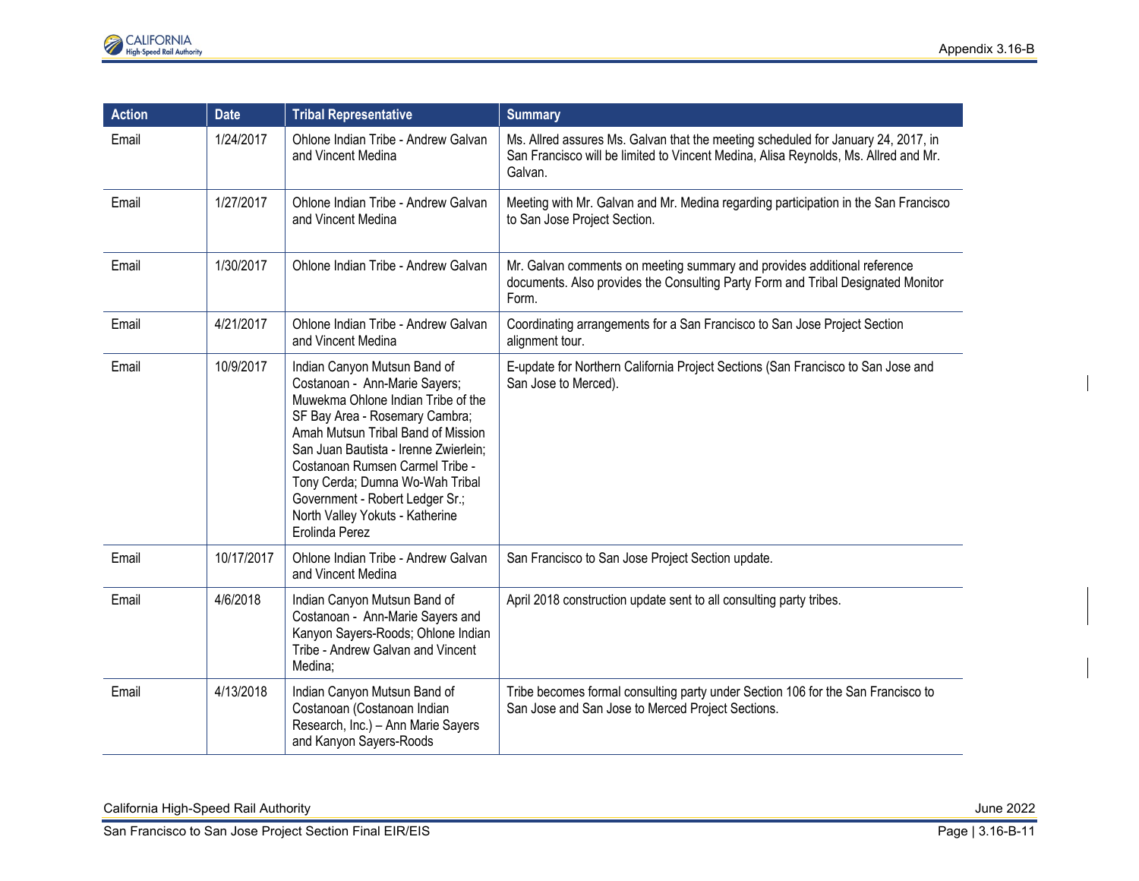| <b>Action</b> | <b>Date</b> | <b>Tribal Representative</b>                                                                                                                                                                                                                                                                                                                                                       | <b>Summary</b>                                                                                                                                                                      |
|---------------|-------------|------------------------------------------------------------------------------------------------------------------------------------------------------------------------------------------------------------------------------------------------------------------------------------------------------------------------------------------------------------------------------------|-------------------------------------------------------------------------------------------------------------------------------------------------------------------------------------|
| Email         | 1/24/2017   | Ohlone Indian Tribe - Andrew Galvan<br>and Vincent Medina                                                                                                                                                                                                                                                                                                                          | Ms. Allred assures Ms. Galvan that the meeting scheduled for January 24, 2017, in<br>San Francisco will be limited to Vincent Medina, Alisa Reynolds, Ms. Allred and Mr.<br>Galvan. |
| Email         | 1/27/2017   | Ohlone Indian Tribe - Andrew Galvan<br>and Vincent Medina                                                                                                                                                                                                                                                                                                                          | Meeting with Mr. Galvan and Mr. Medina regarding participation in the San Francisco<br>to San Jose Project Section.                                                                 |
| Email         | 1/30/2017   | Ohlone Indian Tribe - Andrew Galvan                                                                                                                                                                                                                                                                                                                                                | Mr. Galvan comments on meeting summary and provides additional reference<br>documents. Also provides the Consulting Party Form and Tribal Designated Monitor<br>Form.               |
| Email         | 4/21/2017   | Ohlone Indian Tribe - Andrew Galvan<br>and Vincent Medina                                                                                                                                                                                                                                                                                                                          | Coordinating arrangements for a San Francisco to San Jose Project Section<br>alignment tour.                                                                                        |
| Email         | 10/9/2017   | Indian Canyon Mutsun Band of<br>Costanoan - Ann-Marie Sayers;<br>Muwekma Ohlone Indian Tribe of the<br>SF Bay Area - Rosemary Cambra;<br>Amah Mutsun Tribal Band of Mission<br>San Juan Bautista - Irenne Zwierlein;<br>Costanoan Rumsen Carmel Tribe -<br>Tony Cerda; Dumna Wo-Wah Tribal<br>Government - Robert Ledger Sr.;<br>North Valley Yokuts - Katherine<br>Erolinda Perez | E-update for Northern California Project Sections (San Francisco to San Jose and<br>San Jose to Merced).                                                                            |
| Email         | 10/17/2017  | Ohlone Indian Tribe - Andrew Galvan<br>and Vincent Medina                                                                                                                                                                                                                                                                                                                          | San Francisco to San Jose Project Section update.                                                                                                                                   |
| Email         | 4/6/2018    | Indian Canyon Mutsun Band of<br>Costanoan - Ann-Marie Sayers and<br>Kanyon Sayers-Roods; Ohlone Indian<br>Tribe - Andrew Galvan and Vincent<br>Medina;                                                                                                                                                                                                                             | April 2018 construction update sent to all consulting party tribes.                                                                                                                 |
| Email         | 4/13/2018   | Indian Canyon Mutsun Band of<br>Costanoan (Costanoan Indian<br>Research, Inc.) - Ann Marie Sayers<br>and Kanyon Sayers-Roods                                                                                                                                                                                                                                                       | Tribe becomes formal consulting party under Section 106 for the San Francisco to<br>San Jose and San Jose to Merced Project Sections.                                               |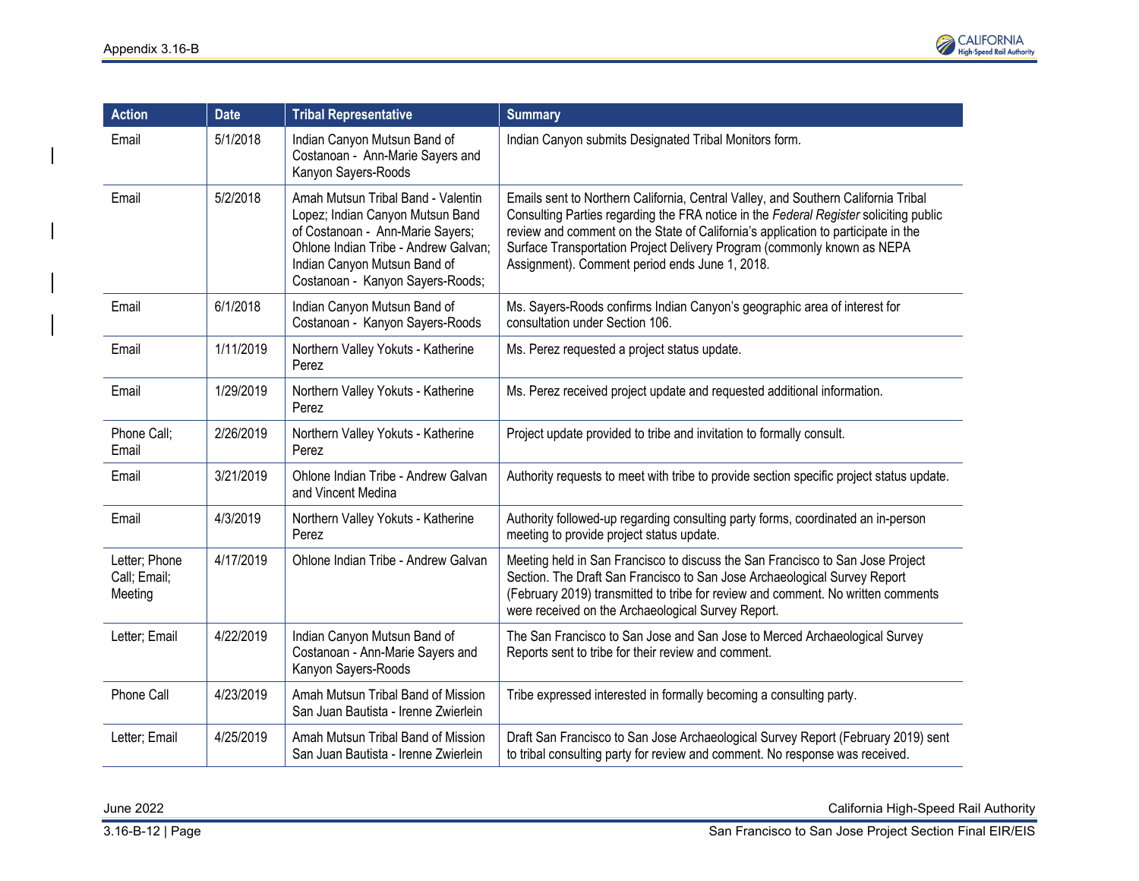

| <b>Action</b>                            | <b>Date</b> | <b>Tribal Representative</b>                                                                                                                                                                                           | <b>Summary</b>                                                                                                                                                                                                                                                                                                                                                                                |
|------------------------------------------|-------------|------------------------------------------------------------------------------------------------------------------------------------------------------------------------------------------------------------------------|-----------------------------------------------------------------------------------------------------------------------------------------------------------------------------------------------------------------------------------------------------------------------------------------------------------------------------------------------------------------------------------------------|
| Email                                    | 5/1/2018    | Indian Canyon Mutsun Band of<br>Costanoan - Ann-Marie Sayers and<br>Kanyon Sayers-Roods                                                                                                                                | Indian Canyon submits Designated Tribal Monitors form.                                                                                                                                                                                                                                                                                                                                        |
| Email                                    | 5/2/2018    | Amah Mutsun Tribal Band - Valentin<br>Lopez; Indian Canyon Mutsun Band<br>of Costanoan - Ann-Marie Sayers;<br>Ohlone Indian Tribe - Andrew Galvan;<br>Indian Canyon Mutsun Band of<br>Costanoan - Kanyon Sayers-Roods; | Emails sent to Northern California, Central Valley, and Southern California Tribal<br>Consulting Parties regarding the FRA notice in the Federal Register soliciting public<br>review and comment on the State of California's application to participate in the<br>Surface Transportation Project Delivery Program (commonly known as NEPA<br>Assignment). Comment period ends June 1, 2018. |
| Email                                    | 6/1/2018    | Indian Canyon Mutsun Band of<br>Costanoan - Kanyon Sayers-Roods                                                                                                                                                        | Ms. Sayers-Roods confirms Indian Canyon's geographic area of interest for<br>consultation under Section 106.                                                                                                                                                                                                                                                                                  |
| Email                                    | 1/11/2019   | Northern Valley Yokuts - Katherine<br>Perez                                                                                                                                                                            | Ms. Perez requested a project status update.                                                                                                                                                                                                                                                                                                                                                  |
| Email                                    | 1/29/2019   | Northern Valley Yokuts - Katherine<br>Perez                                                                                                                                                                            | Ms. Perez received project update and requested additional information.                                                                                                                                                                                                                                                                                                                       |
| Phone Call;<br>Email                     | 2/26/2019   | Northern Valley Yokuts - Katherine<br>Perez                                                                                                                                                                            | Project update provided to tribe and invitation to formally consult.                                                                                                                                                                                                                                                                                                                          |
| Email                                    | 3/21/2019   | Ohlone Indian Tribe - Andrew Galvan<br>and Vincent Medina                                                                                                                                                              | Authority requests to meet with tribe to provide section specific project status update.                                                                                                                                                                                                                                                                                                      |
| Email                                    | 4/3/2019    | Northern Valley Yokuts - Katherine<br>Perez                                                                                                                                                                            | Authority followed-up regarding consulting party forms, coordinated an in-person<br>meeting to provide project status update.                                                                                                                                                                                                                                                                 |
| Letter; Phone<br>Call; Email;<br>Meeting | 4/17/2019   | Ohlone Indian Tribe - Andrew Galvan                                                                                                                                                                                    | Meeting held in San Francisco to discuss the San Francisco to San Jose Project<br>Section. The Draft San Francisco to San Jose Archaeological Survey Report<br>(February 2019) transmitted to tribe for review and comment. No written comments<br>were received on the Archaeological Survey Report.                                                                                         |
| Letter; Email                            | 4/22/2019   | Indian Canyon Mutsun Band of<br>Costanoan - Ann-Marie Sayers and<br>Kanyon Sayers-Roods                                                                                                                                | The San Francisco to San Jose and San Jose to Merced Archaeological Survey<br>Reports sent to tribe for their review and comment.                                                                                                                                                                                                                                                             |
| Phone Call                               | 4/23/2019   | Amah Mutsun Tribal Band of Mission<br>San Juan Bautista - Irenne Zwierlein                                                                                                                                             | Tribe expressed interested in formally becoming a consulting party.                                                                                                                                                                                                                                                                                                                           |
| Letter; Email                            | 4/25/2019   | Amah Mutsun Tribal Band of Mission<br>San Juan Bautista - Irenne Zwierlein                                                                                                                                             | Draft San Francisco to San Jose Archaeological Survey Report (February 2019) sent<br>to tribal consulting party for review and comment. No response was received.                                                                                                                                                                                                                             |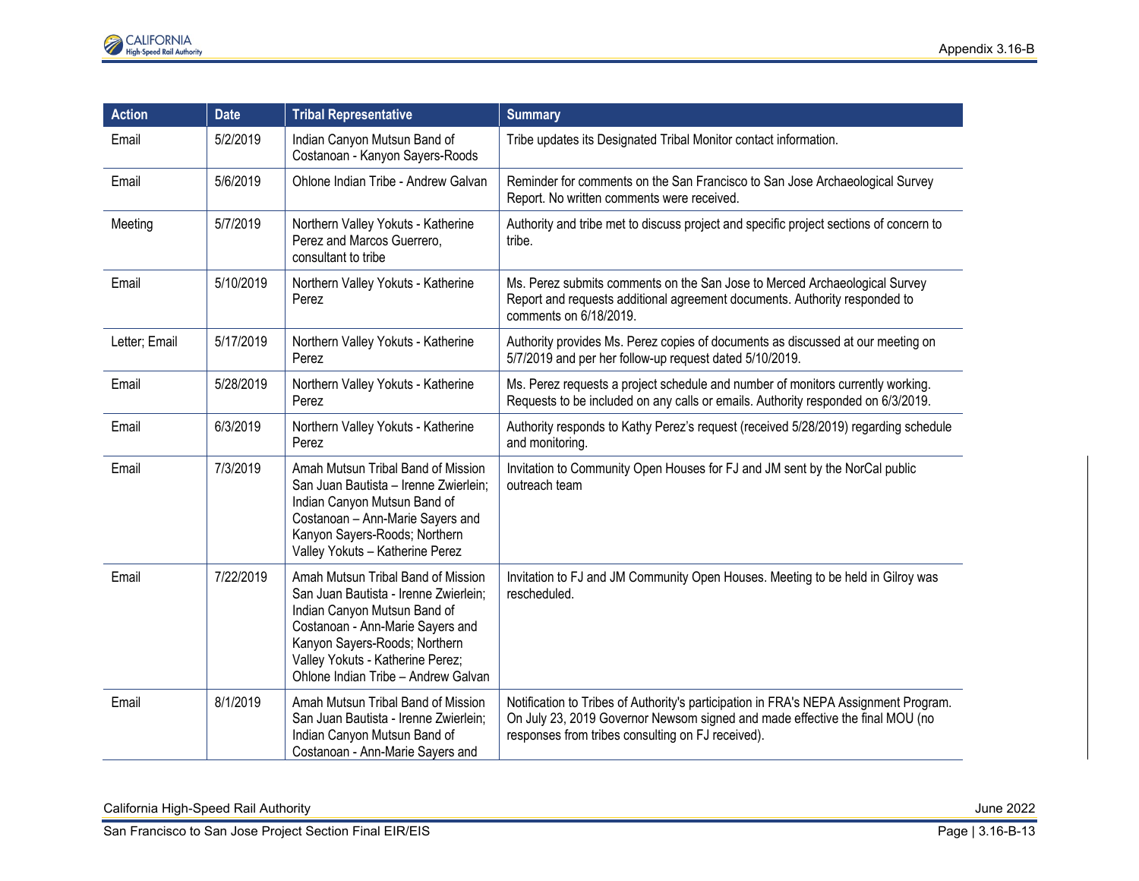| <b>Action</b> | <b>Date</b> | <b>Tribal Representative</b>                                                                                                                                                                                                                                | <b>Summary</b>                                                                                                                                                                                                             |
|---------------|-------------|-------------------------------------------------------------------------------------------------------------------------------------------------------------------------------------------------------------------------------------------------------------|----------------------------------------------------------------------------------------------------------------------------------------------------------------------------------------------------------------------------|
| Email         | 5/2/2019    | Indian Canyon Mutsun Band of<br>Costanoan - Kanyon Sayers-Roods                                                                                                                                                                                             | Tribe updates its Designated Tribal Monitor contact information.                                                                                                                                                           |
| Email         | 5/6/2019    | Ohlone Indian Tribe - Andrew Galvan                                                                                                                                                                                                                         | Reminder for comments on the San Francisco to San Jose Archaeological Survey<br>Report. No written comments were received.                                                                                                 |
| Meeting       | 5/7/2019    | Northern Valley Yokuts - Katherine<br>Perez and Marcos Guerrero,<br>consultant to tribe                                                                                                                                                                     | Authority and tribe met to discuss project and specific project sections of concern to<br>tribe.                                                                                                                           |
| Email         | 5/10/2019   | Northern Valley Yokuts - Katherine<br>Perez                                                                                                                                                                                                                 | Ms. Perez submits comments on the San Jose to Merced Archaeological Survey<br>Report and requests additional agreement documents. Authority responded to<br>comments on 6/18/2019.                                         |
| Letter; Email | 5/17/2019   | Northern Valley Yokuts - Katherine<br>Perez                                                                                                                                                                                                                 | Authority provides Ms. Perez copies of documents as discussed at our meeting on<br>5/7/2019 and per her follow-up request dated 5/10/2019.                                                                                 |
| Email         | 5/28/2019   | Northern Valley Yokuts - Katherine<br>Perez                                                                                                                                                                                                                 | Ms. Perez requests a project schedule and number of monitors currently working.<br>Requests to be included on any calls or emails. Authority responded on 6/3/2019.                                                        |
| Email         | 6/3/2019    | Northern Valley Yokuts - Katherine<br>Perez                                                                                                                                                                                                                 | Authority responds to Kathy Perez's request (received 5/28/2019) regarding schedule<br>and monitoring.                                                                                                                     |
| Email         | 7/3/2019    | Amah Mutsun Tribal Band of Mission<br>San Juan Bautista - Irenne Zwierlein;<br>Indian Canyon Mutsun Band of<br>Costanoan - Ann-Marie Sayers and<br>Kanyon Sayers-Roods; Northern<br>Valley Yokuts - Katherine Perez                                         | Invitation to Community Open Houses for FJ and JM sent by the NorCal public<br>outreach team                                                                                                                               |
| Email         | 7/22/2019   | Amah Mutsun Tribal Band of Mission<br>San Juan Bautista - Irenne Zwierlein;<br>Indian Canyon Mutsun Band of<br>Costanoan - Ann-Marie Sayers and<br>Kanyon Sayers-Roods; Northern<br>Valley Yokuts - Katherine Perez;<br>Ohlone Indian Tribe - Andrew Galvan | Invitation to FJ and JM Community Open Houses. Meeting to be held in Gilroy was<br>rescheduled.                                                                                                                            |
| Email         | 8/1/2019    | Amah Mutsun Tribal Band of Mission<br>San Juan Bautista - Irenne Zwierlein;<br>Indian Canyon Mutsun Band of<br>Costanoan - Ann-Marie Sayers and                                                                                                             | Notification to Tribes of Authority's participation in FRA's NEPA Assignment Program.<br>On July 23, 2019 Governor Newsom signed and made effective the final MOU (no<br>responses from tribes consulting on FJ received). |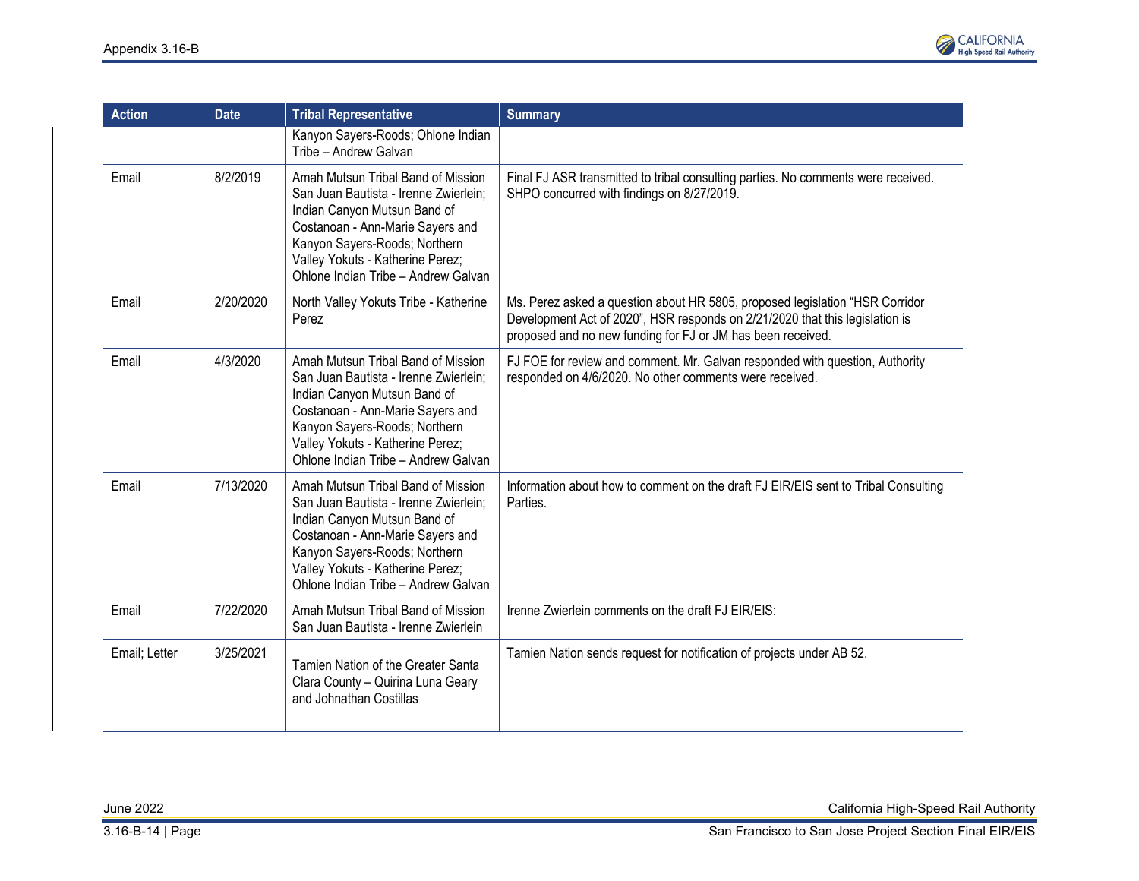

| <b>Action</b> | <b>Date</b> | <b>Tribal Representative</b>                                                                                                                                                                                                                                | <b>Summary</b>                                                                                                                                                                                                               |
|---------------|-------------|-------------------------------------------------------------------------------------------------------------------------------------------------------------------------------------------------------------------------------------------------------------|------------------------------------------------------------------------------------------------------------------------------------------------------------------------------------------------------------------------------|
|               |             | Kanyon Sayers-Roods; Ohlone Indian<br>Tribe - Andrew Galvan                                                                                                                                                                                                 |                                                                                                                                                                                                                              |
| Email         | 8/2/2019    | Amah Mutsun Tribal Band of Mission<br>San Juan Bautista - Irenne Zwierlein;<br>Indian Canyon Mutsun Band of<br>Costanoan - Ann-Marie Sayers and<br>Kanyon Sayers-Roods; Northern<br>Valley Yokuts - Katherine Perez;<br>Ohlone Indian Tribe - Andrew Galvan | Final FJ ASR transmitted to tribal consulting parties. No comments were received.<br>SHPO concurred with findings on 8/27/2019.                                                                                              |
| Email         | 2/20/2020   | North Valley Yokuts Tribe - Katherine<br>Perez                                                                                                                                                                                                              | Ms. Perez asked a question about HR 5805, proposed legislation "HSR Corridor"<br>Development Act of 2020", HSR responds on 2/21/2020 that this legislation is<br>proposed and no new funding for FJ or JM has been received. |
| Email         | 4/3/2020    | Amah Mutsun Tribal Band of Mission<br>San Juan Bautista - Irenne Zwierlein;<br>Indian Canyon Mutsun Band of<br>Costanoan - Ann-Marie Sayers and<br>Kanyon Sayers-Roods; Northern<br>Valley Yokuts - Katherine Perez;<br>Ohlone Indian Tribe - Andrew Galvan | FJ FOE for review and comment. Mr. Galvan responded with question, Authority<br>responded on 4/6/2020. No other comments were received.                                                                                      |
| Email         | 7/13/2020   | Amah Mutsun Tribal Band of Mission<br>San Juan Bautista - Irenne Zwierlein;<br>Indian Canyon Mutsun Band of<br>Costanoan - Ann-Marie Sayers and<br>Kanyon Sayers-Roods; Northern<br>Valley Yokuts - Katherine Perez;<br>Ohlone Indian Tribe - Andrew Galvan | Information about how to comment on the draft FJ EIR/EIS sent to Tribal Consulting<br>Parties.                                                                                                                               |
| Email         | 7/22/2020   | Amah Mutsun Tribal Band of Mission<br>San Juan Bautista - Irenne Zwierlein                                                                                                                                                                                  | Irenne Zwierlein comments on the draft FJ EIR/EIS:                                                                                                                                                                           |
| Email; Letter | 3/25/2021   | Tamien Nation of the Greater Santa<br>Clara County - Quirina Luna Geary<br>and Johnathan Costillas                                                                                                                                                          | Tamien Nation sends request for notification of projects under AB 52.                                                                                                                                                        |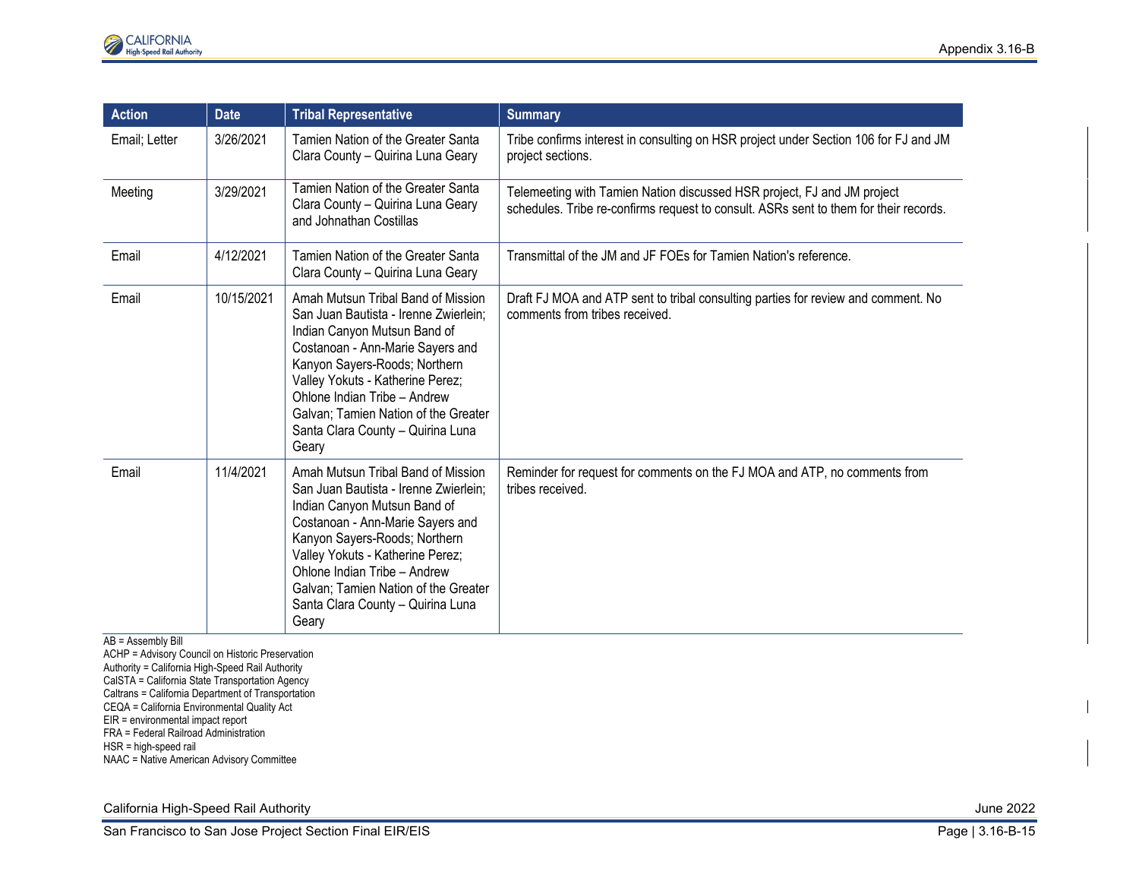| <b>Action</b> | <b>Date</b> | <b>Tribal Representative</b>                                                                                                                                                                                                                                                                                                               | <b>Summary</b>                                                                                                                                                   |
|---------------|-------------|--------------------------------------------------------------------------------------------------------------------------------------------------------------------------------------------------------------------------------------------------------------------------------------------------------------------------------------------|------------------------------------------------------------------------------------------------------------------------------------------------------------------|
| Email; Letter | 3/26/2021   | Tamien Nation of the Greater Santa<br>Clara County - Quirina Luna Geary                                                                                                                                                                                                                                                                    | Tribe confirms interest in consulting on HSR project under Section 106 for FJ and JM<br>project sections.                                                        |
| Meeting       | 3/29/2021   | Tamien Nation of the Greater Santa<br>Clara County - Quirina Luna Geary<br>and Johnathan Costillas                                                                                                                                                                                                                                         | Telemeeting with Tamien Nation discussed HSR project, FJ and JM project<br>schedules. Tribe re-confirms request to consult. ASRs sent to them for their records. |
| Email         | 4/12/2021   | Tamien Nation of the Greater Santa<br>Clara County - Quirina Luna Geary                                                                                                                                                                                                                                                                    | Transmittal of the JM and JF FOEs for Tamien Nation's reference.                                                                                                 |
| Email         | 10/15/2021  | Amah Mutsun Tribal Band of Mission<br>San Juan Bautista - Irenne Zwierlein;<br>Indian Canyon Mutsun Band of<br>Costanoan - Ann-Marie Sayers and<br>Kanyon Sayers-Roods; Northern<br>Valley Yokuts - Katherine Perez;<br>Ohlone Indian Tribe - Andrew<br>Galvan; Tamien Nation of the Greater<br>Santa Clara County - Quirina Luna<br>Geary | Draft FJ MOA and ATP sent to tribal consulting parties for review and comment. No<br>comments from tribes received.                                              |
| Email         | 11/4/2021   | Amah Mutsun Tribal Band of Mission<br>San Juan Bautista - Irenne Zwierlein;<br>Indian Canyon Mutsun Band of<br>Costanoan - Ann-Marie Sayers and<br>Kanyon Sayers-Roods; Northern<br>Valley Yokuts - Katherine Perez;<br>Ohlone Indian Tribe - Andrew<br>Galvan; Tamien Nation of the Greater<br>Santa Clara County - Quirina Luna<br>Geary | Reminder for request for comments on the FJ MOA and ATP, no comments from<br>tribes received.                                                                    |

AB = Assembly Bill

ACHP = Advisory Council on Historic Preservation

Authority = California High-Speed Rail Authority

CalSTA = California State Transportation Agency

Caltrans = California Department of Transportation

CEQA = California Environmental Quality Act

EIR = environmental impact report

FRA = Federal Railroad Administration

HSR = high-speed rail

NAAC = Native American Advisory Committee